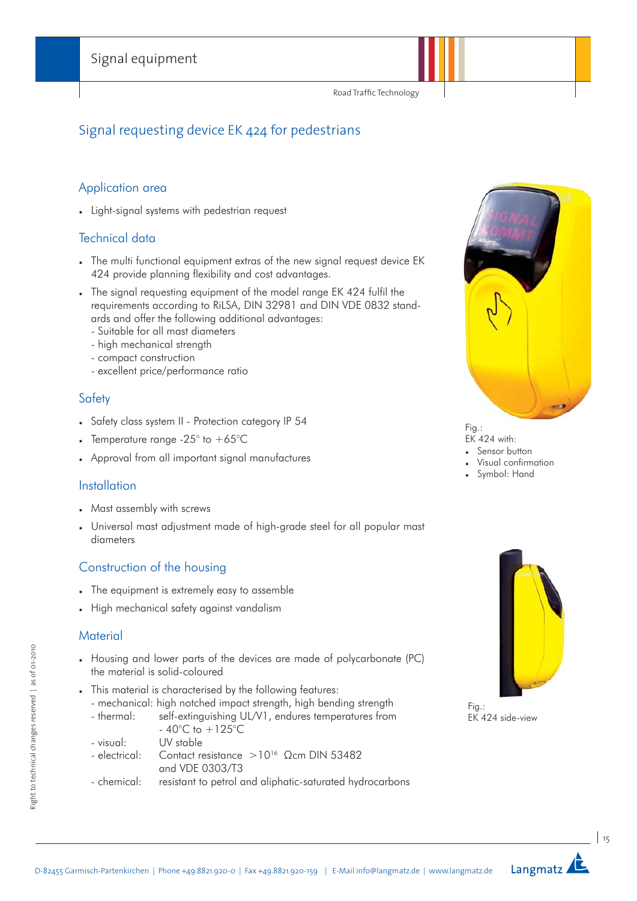Road Traffic Technology

# Signal requesting device EK 424 for pedestrians

#### Application area

Light-signal systems with pedestrian request

#### Technical data

- The multi functional equipment extras of the new signal request device EK 424 provide planning flexibility and cost advantages.
- The signal requesting equipment of the model range EK 424 fulfil the requirements according to RiLSA, DIN 32981 and DIN VDE 0832 standards and offer the following additional advantages:
	- Suitable for all mast diameters
	- high mechanical strength
	- compact construction
	- excellent price/performance ratio

#### **Safety**

- Safety class system II Protection category IP 54
- Femperature range -25 $^{\circ}$  to +65 $^{\circ}$ C
- Approval from all important signal manufactures

#### **Installation**

- Mast assembly with screws
- Universal mast adjustment made of high-grade steel for all popular mast diameters

### Construction of the housing

- The equipment is extremely easy to assemble
- High mechanical safety against vandalism

#### **Material**

- Housing and lower parts of the devices are made of polycarbonate (PC) the material is solid-coloured
- This material is characterised by the following features:
	- mechanical: high notched impact strength, high bending strength
	- thermal: self-extinguishing UL/V1, endures temperatures from  $-40^{\circ}$ C to  $+125^{\circ}$ C
	- visual: UV stable
	- electrical: Contact resistance >1016 Ωcm DIN 53482 and VDE 0303/T3
	- chemical: resistant to petrol and aliphatic-saturated hydrocarbons



Fig.: EK 424 with:

- Sensor button
- Visual confirmation
- Symbol: Hand



Fig.: EK 424 side-view

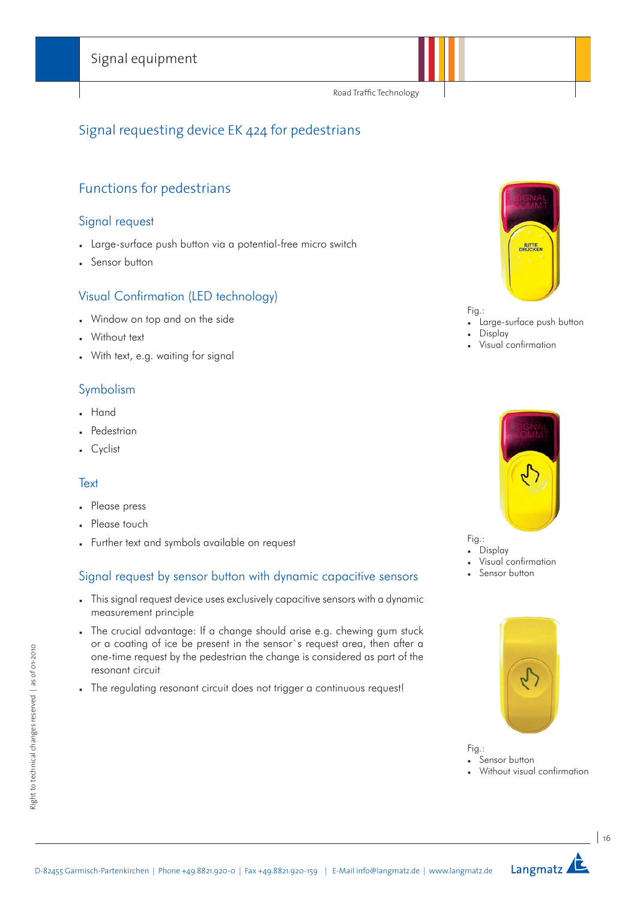Road Traffic Technology

# Signal requesting device EK 424 for pedestrians

## Functions for pedestrians

#### Signal request

- Large-surface push button via a potential-free micro switch
- Sensor button

### Visual Confirmation (LED technology)

- Window on top and on the side
- Without text
- With text, e.g. waiting for signal

#### Symbolism

- . Hand
- Pedestrian
- Cyclist

#### **Text**

- Please press
- Please touch
- Further text and symbols available on request

### Signal request by sensor button with dynamic capacitive sensors

- This signal request device uses exclusively capacitive sensors with a dynamic measurement principle
- The crucial advantage: If a change should arise e.g. chewing gum stuck or a coating of ice be present in the sensor`s request area, then after a one-time request by the pedestrian the change is considered as part of the resonant circuit
- . The regulating resonant circuit does not trigger a continuous request!



#### Fig.:

- Large-surface push button
- **Display**
- Visual confirmation



Fig.: Display

- Visual confirmation
- Sensor button



Fig.:

- Sensor button
- Without visual confirmation